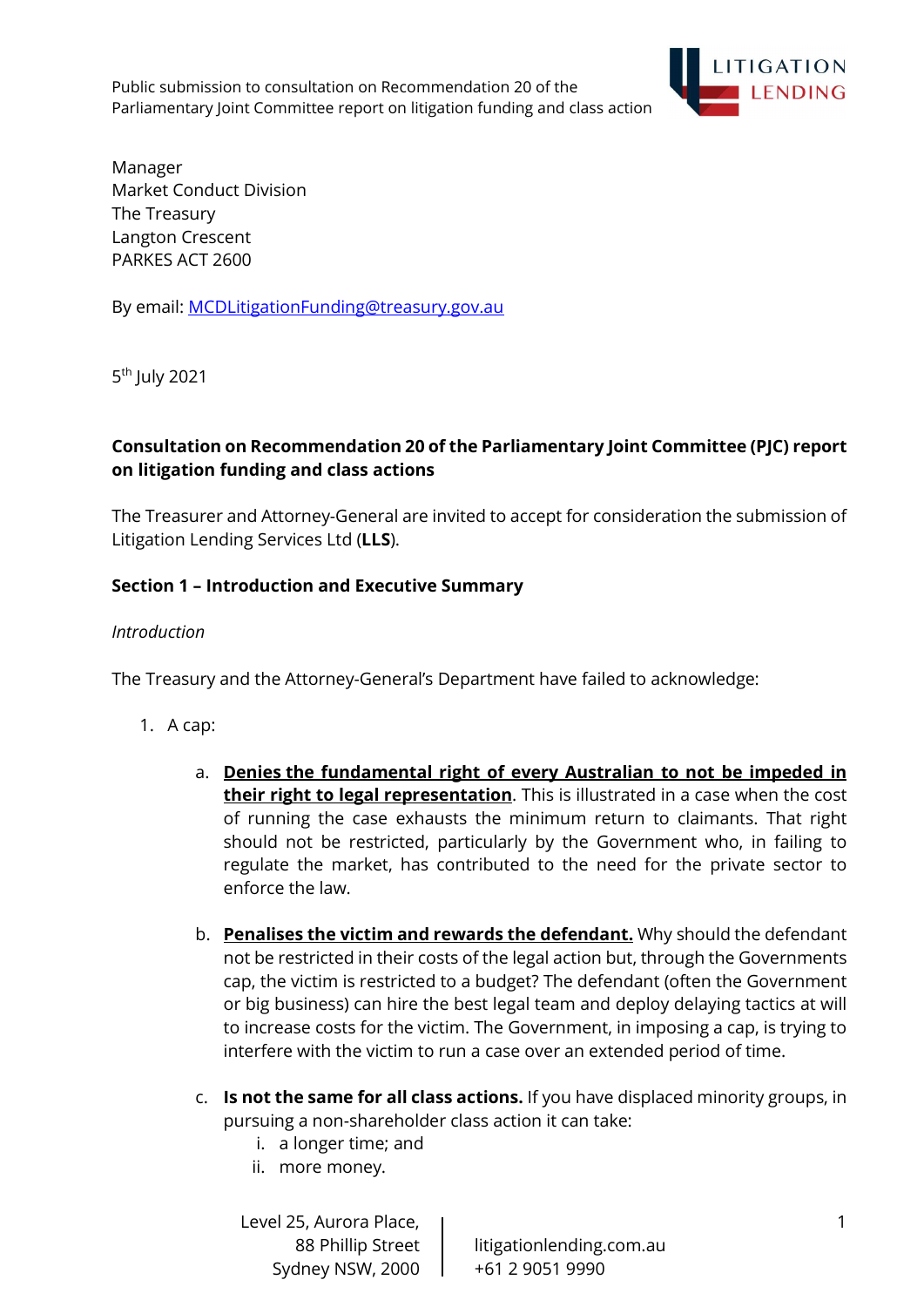

Manager Market Conduct Division The Treasury Langton Crescent PARKES ACT 2600

By email: MCDLitigationFunding@treasury.gov.au

5<sup>th</sup> July 2021

## Consultation on Recommendation 20 of the Parliamentary Joint Committee (PJC) report on litigation funding and class actions

The Treasurer and Attorney-General are invited to accept for consideration the submission of Litigation Lending Services Ltd (LLS).

## Section 1 – Introduction and Executive Summary

#### Introduction

The Treasury and the Attorney-General's Department have failed to acknowledge:

- 1. A cap:
	- a. Denies the fundamental right of every Australian to not be impeded in their right to legal representation. This is illustrated in a case when the cost of running the case exhausts the minimum return to claimants. That right should not be restricted, particularly by the Government who, in failing to regulate the market, has contributed to the need for the private sector to enforce the law.
	- b. Penalises the victim and rewards the defendant. Why should the defendant not be restricted in their costs of the legal action but, through the Governments cap, the victim is restricted to a budget? The defendant (often the Government or big business) can hire the best legal team and deploy delaying tactics at will to increase costs for the victim. The Government, in imposing a cap, is trying to interfere with the victim to run a case over an extended period of time.
	- c. Is not the same for all class actions. If you have displaced minority groups, in pursuing a non-shareholder class action it can take:
		- i. a longer time; and
		- ii. more money.

Level 25, Aurora Place, Sydney NSW, 2000 | +61 2 9051 9990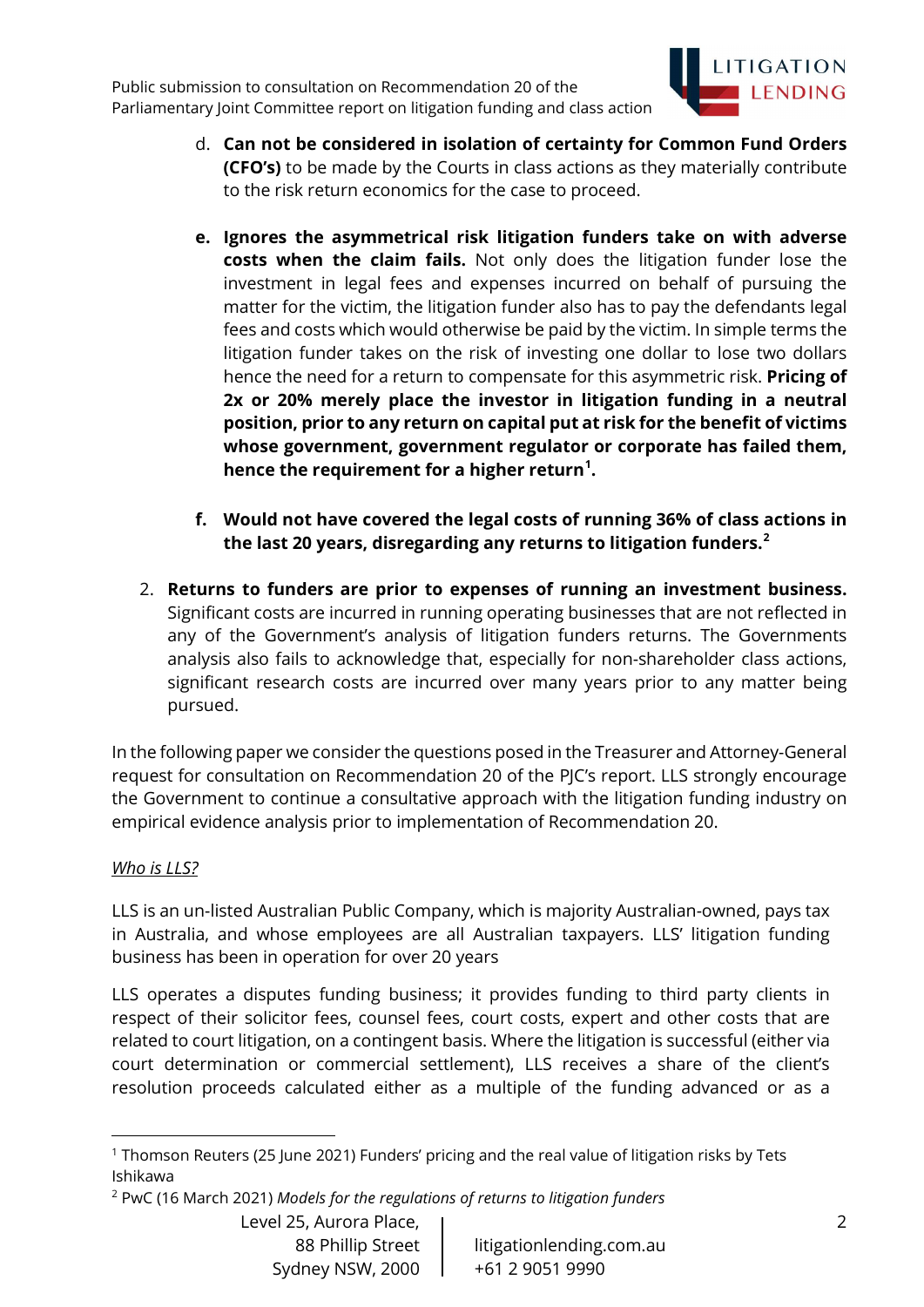

- d. Can not be considered in isolation of certainty for Common Fund Orders (CFO's) to be made by the Courts in class actions as they materially contribute to the risk return economics for the case to proceed.
- e. Ignores the asymmetrical risk litigation funders take on with adverse costs when the claim fails. Not only does the litigation funder lose the investment in legal fees and expenses incurred on behalf of pursuing the matter for the victim, the litigation funder also has to pay the defendants legal fees and costs which would otherwise be paid by the victim. In simple terms the litigation funder takes on the risk of investing one dollar to lose two dollars hence the need for a return to compensate for this asymmetric risk. Pricing of 2x or 20% merely place the investor in litigation funding in a neutral position, prior to any return on capital put at risk for the benefit of victims whose government, government regulator or corporate has failed them, hence the requirement for a higher return<sup>1</sup>.
- f. Would not have covered the legal costs of running 36% of class actions in the last 20 years, disregarding any returns to litigation funders.<sup>2</sup>
- 2. Returns to funders are prior to expenses of running an investment business. Significant costs are incurred in running operating businesses that are not reflected in any of the Government's analysis of litigation funders returns. The Governments analysis also fails to acknowledge that, especially for non-shareholder class actions, significant research costs are incurred over many years prior to any matter being pursued.

In the following paper we consider the questions posed in the Treasurer and Attorney-General request for consultation on Recommendation 20 of the PJC's report. LLS strongly encourage the Government to continue a consultative approach with the litigation funding industry on empirical evidence analysis prior to implementation of Recommendation 20.

# Who is LLS?

LLS is an un-listed Australian Public Company, which is majority Australian-owned, pays tax in Australia, and whose employees are all Australian taxpayers. LLS' litigation funding business has been in operation for over 20 years

LLS operates a disputes funding business; it provides funding to third party clients in respect of their solicitor fees, counsel fees, court costs, expert and other costs that are related to court litigation, on a contingent basis. Where the litigation is successful (either via court determination or commercial settlement), LLS receives a share of the client's resolution proceeds calculated either as a multiple of the funding advanced or as a

<sup>1</sup> Thomson Reuters (25 June 2021) Funders' pricing and the real value of litigation risks by Tets Ishikawa

<sup>&</sup>lt;sup>2</sup> PwC (16 March 2021) Models for the regulations of returns to litigation funders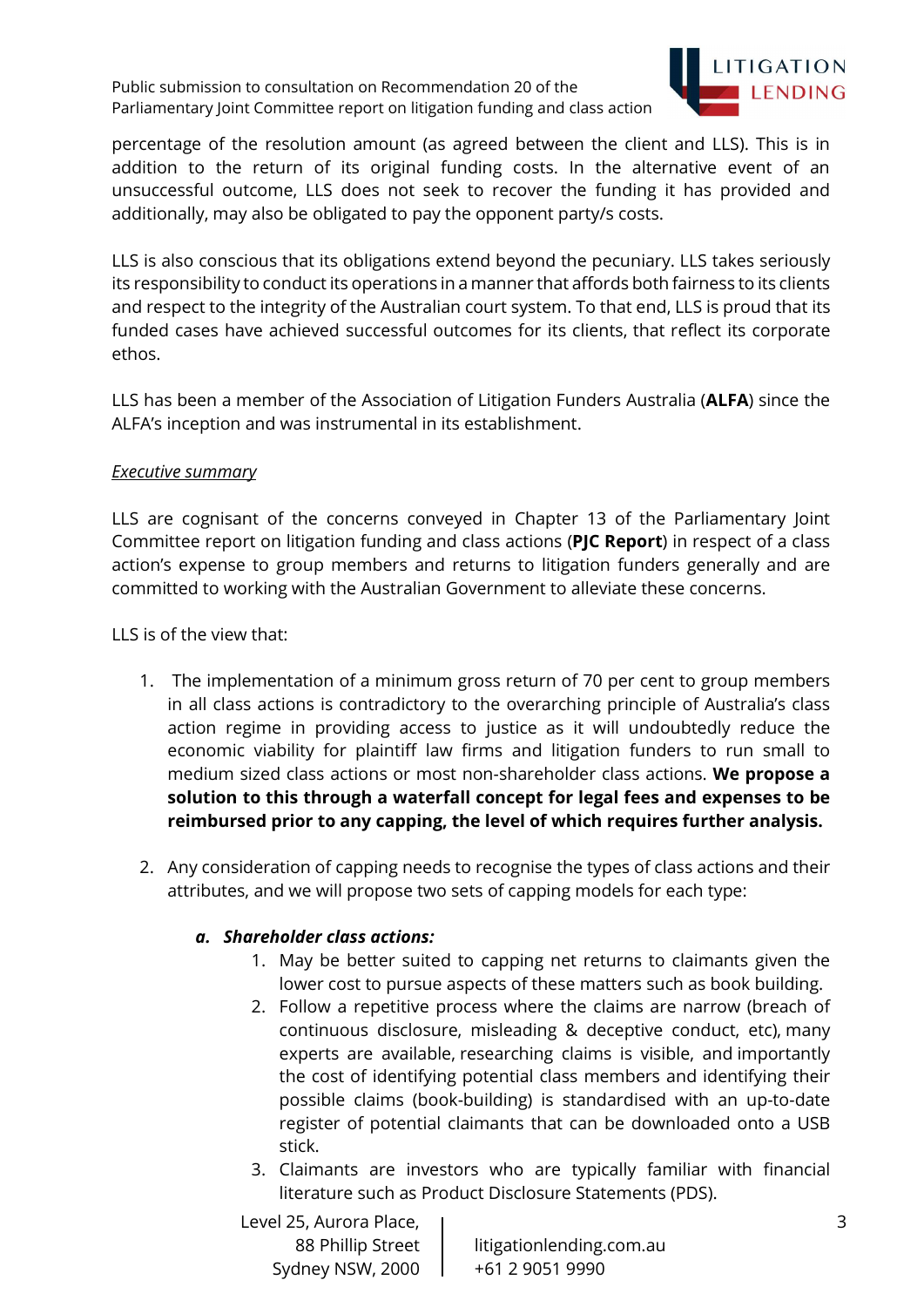

percentage of the resolution amount (as agreed between the client and LLS). This is in addition to the return of its original funding costs. In the alternative event of an unsuccessful outcome, LLS does not seek to recover the funding it has provided and additionally, may also be obligated to pay the opponent party/s costs.

LLS is also conscious that its obligations extend beyond the pecuniary. LLS takes seriously its responsibility to conduct its operations in a manner that affords both fairness to its clients and respect to the integrity of the Australian court system. To that end, LLS is proud that its funded cases have achieved successful outcomes for its clients, that reflect its corporate ethos.

LLS has been a member of the Association of Litigation Funders Australia (ALFA) since the ALFA's inception and was instrumental in its establishment.

#### Executive summary

LLS are cognisant of the concerns conveyed in Chapter 13 of the Parliamentary Joint Committee report on litigation funding and class actions (PJC Report) in respect of a class action's expense to group members and returns to litigation funders generally and are committed to working with the Australian Government to alleviate these concerns.

LLS is of the view that:

- 1. The implementation of a minimum gross return of 70 per cent to group members in all class actions is contradictory to the overarching principle of Australia's class action regime in providing access to justice as it will undoubtedly reduce the economic viability for plaintiff law firms and litigation funders to run small to medium sized class actions or most non-shareholder class actions. We propose a solution to this through a waterfall concept for legal fees and expenses to be reimbursed prior to any capping, the level of which requires further analysis.
- 2. Any consideration of capping needs to recognise the types of class actions and their attributes, and we will propose two sets of capping models for each type:

# a. Shareholder class actions:

- 1. May be better suited to capping net returns to claimants given the lower cost to pursue aspects of these matters such as book building.
- 2. Follow a repetitive process where the claims are narrow (breach of continuous disclosure, misleading & deceptive conduct, etc), many experts are available, researching claims is visible, and importantly the cost of identifying potential class members and identifying their possible claims (book-building) is standardised with an up-to-date register of potential claimants that can be downloaded onto a USB stick.
- 3. Claimants are investors who are typically familiar with financial literature such as Product Disclosure Statements (PDS).

Level 25, Aurora Place, Sydney NSW, 2000 | +61 2 9051 9990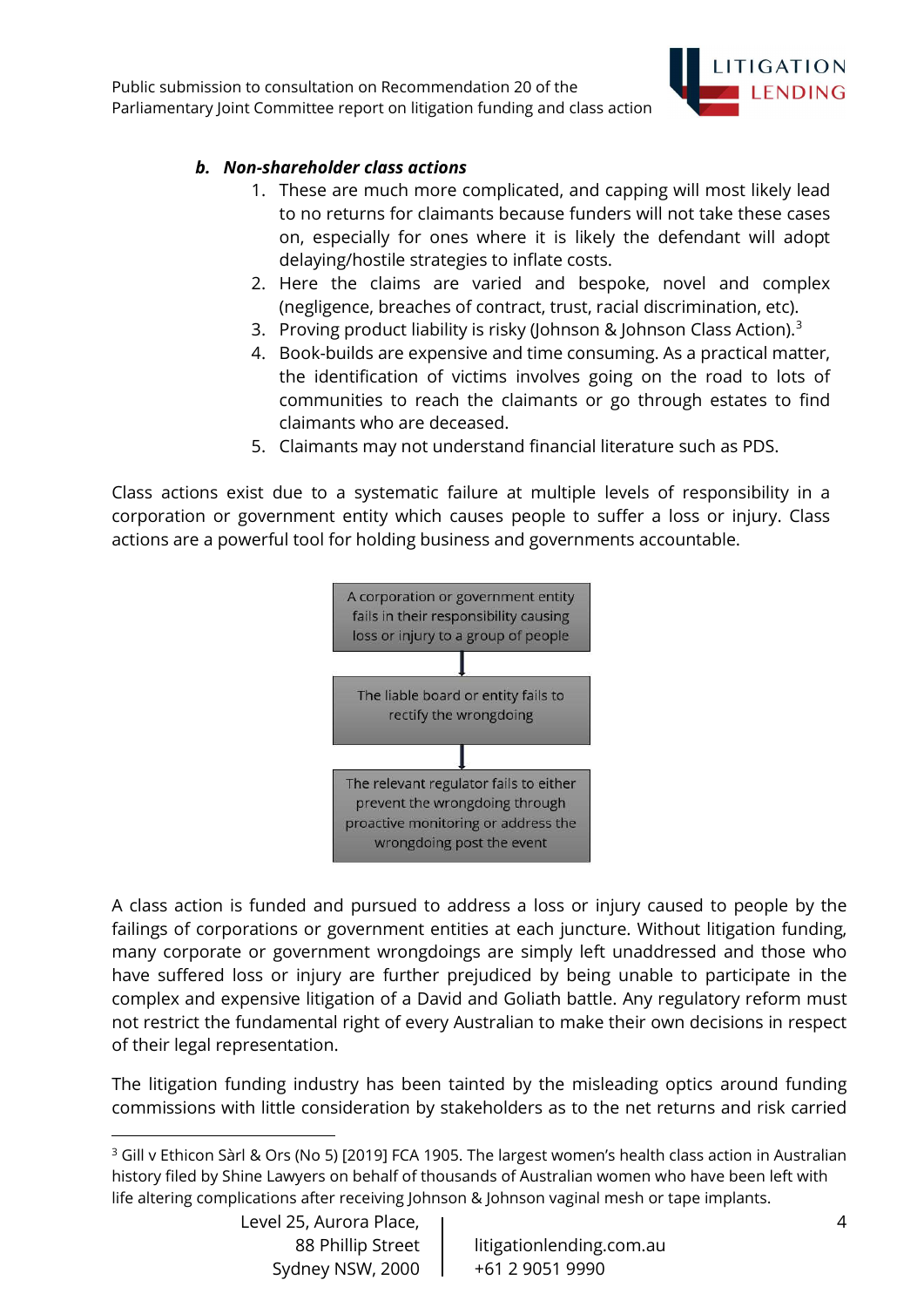

## b. Non-shareholder class actions

- 1. These are much more complicated, and capping will most likely lead to no returns for claimants because funders will not take these cases on, especially for ones where it is likely the defendant will adopt delaying/hostile strategies to inflate costs.
- 2. Here the claims are varied and bespoke, novel and complex (negligence, breaches of contract, trust, racial discrimination, etc).
- 3. Proving product liability is risky (Johnson & Johnson Class Action).<sup>3</sup>
- 4. Book-builds are expensive and time consuming. As a practical matter, the identification of victims involves going on the road to lots of communities to reach the claimants or go through estates to find claimants who are deceased.
- 5. Claimants may not understand financial literature such as PDS.

Class actions exist due to a systematic failure at multiple levels of responsibility in a corporation or government entity which causes people to suffer a loss or injury. Class actions are a powerful tool for holding business and governments accountable.



A class action is funded and pursued to address a loss or injury caused to people by the failings of corporations or government entities at each juncture. Without litigation funding, many corporate or government wrongdoings are simply left unaddressed and those who have suffered loss or injury are further prejudiced by being unable to participate in the complex and expensive litigation of a David and Goliath battle. Any regulatory reform must not restrict the fundamental right of every Australian to make their own decisions in respect of their legal representation.

The litigation funding industry has been tainted by the misleading optics around funding commissions with little consideration by stakeholders as to the net returns and risk carried

Level 25, Aurora Place, Sydney NSW, 2000 | +61 2 9051 9990

<sup>&</sup>lt;sup>3</sup> Gill v Ethicon Sàrl & Ors (No 5) [2019] FCA 1905. The largest women's health class action in Australian history filed by Shine Lawyers on behalf of thousands of Australian women who have been left with life altering complications after receiving Johnson & Johnson vaginal mesh or tape implants.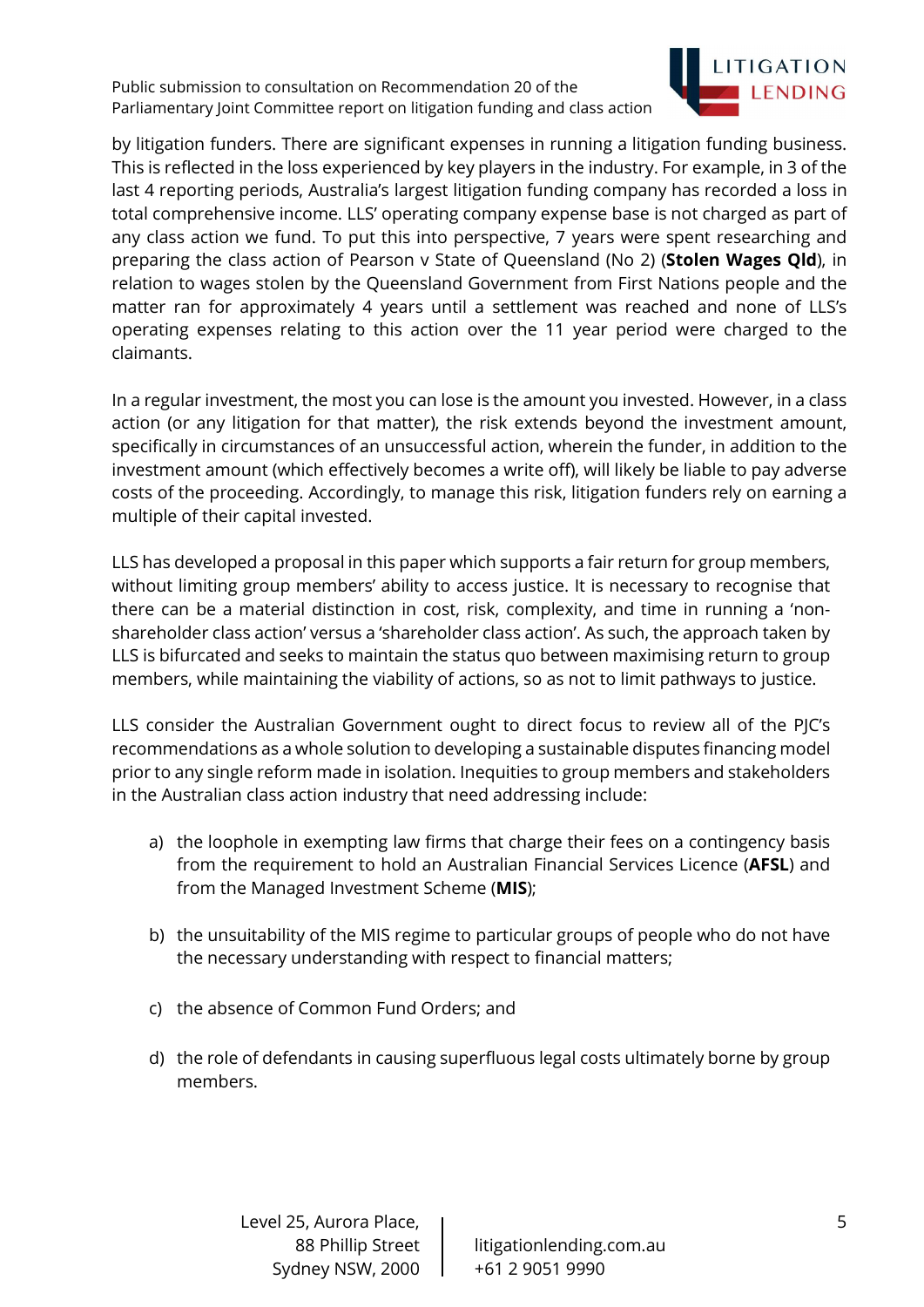

by litigation funders. There are significant expenses in running a litigation funding business. This is reflected in the loss experienced by key players in the industry. For example, in 3 of the last 4 reporting periods, Australia's largest litigation funding company has recorded a loss in total comprehensive income. LLS' operating company expense base is not charged as part of any class action we fund. To put this into perspective, 7 years were spent researching and preparing the class action of Pearson v State of Queensland (No 2) (Stolen Wages Qld), in relation to wages stolen by the Queensland Government from First Nations people and the matter ran for approximately 4 years until a settlement was reached and none of LLS's operating expenses relating to this action over the 11 year period were charged to the claimants.

In a regular investment, the most you can lose is the amount you invested. However, in a class action (or any litigation for that matter), the risk extends beyond the investment amount, specifically in circumstances of an unsuccessful action, wherein the funder, in addition to the investment amount (which effectively becomes a write off), will likely be liable to pay adverse costs of the proceeding. Accordingly, to manage this risk, litigation funders rely on earning a multiple of their capital invested.

LLS has developed a proposal in this paper which supports a fair return for group members, without limiting group members' ability to access justice. It is necessary to recognise that there can be a material distinction in cost, risk, complexity, and time in running a 'nonshareholder class action' versus a 'shareholder class action'. As such, the approach taken by LLS is bifurcated and seeks to maintain the status quo between maximising return to group members, while maintaining the viability of actions, so as not to limit pathways to justice.

LLS consider the Australian Government ought to direct focus to review all of the PJC's recommendations as a whole solution to developing a sustainable disputes financing model prior to any single reform made in isolation. Inequities to group members and stakeholders in the Australian class action industry that need addressing include:

- a) the loophole in exempting law firms that charge their fees on a contingency basis from the requirement to hold an Australian Financial Services Licence (AFSL) and from the Managed Investment Scheme (MIS);
- b) the unsuitability of the MIS regime to particular groups of people who do not have the necessary understanding with respect to financial matters;
- c) the absence of Common Fund Orders; and
- d) the role of defendants in causing superfluous legal costs ultimately borne by group members.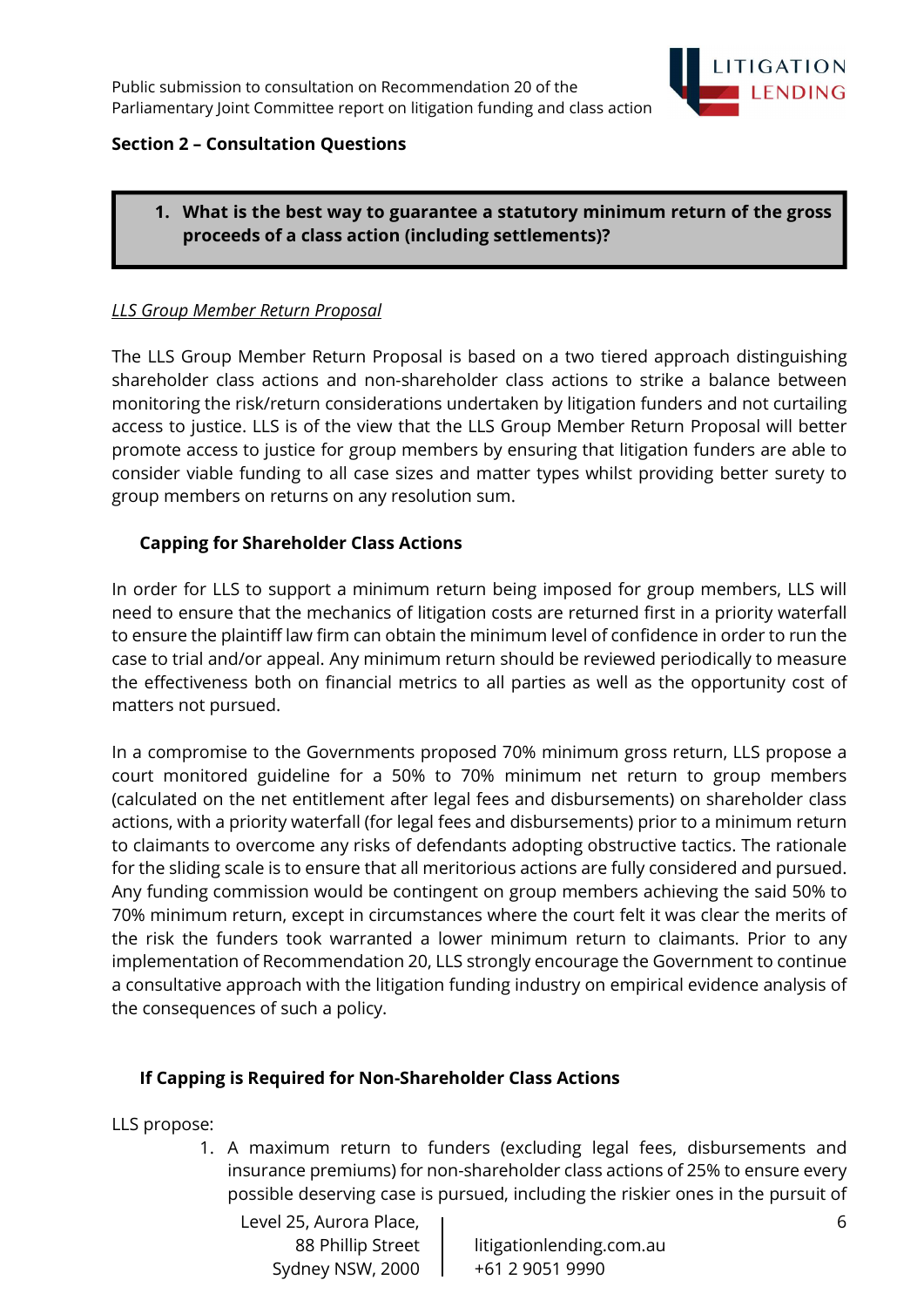

## Section 2 – Consultation Questions

## 1. What is the best way to guarantee a statutory minimum return of the gross proceeds of a class action (including settlements)?

#### LLS Group Member Return Proposal

The LLS Group Member Return Proposal is based on a two tiered approach distinguishing shareholder class actions and non-shareholder class actions to strike a balance between monitoring the risk/return considerations undertaken by litigation funders and not curtailing access to justice. LLS is of the view that the LLS Group Member Return Proposal will better promote access to justice for group members by ensuring that litigation funders are able to consider viable funding to all case sizes and matter types whilst providing better surety to group members on returns on any resolution sum.

## Capping for Shareholder Class Actions

In order for LLS to support a minimum return being imposed for group members, LLS will need to ensure that the mechanics of litigation costs are returned first in a priority waterfall to ensure the plaintiff law firm can obtain the minimum level of confidence in order to run the case to trial and/or appeal. Any minimum return should be reviewed periodically to measure the effectiveness both on financial metrics to all parties as well as the opportunity cost of matters not pursued.

In a compromise to the Governments proposed 70% minimum gross return, LLS propose a court monitored guideline for a 50% to 70% minimum net return to group members (calculated on the net entitlement after legal fees and disbursements) on shareholder class actions, with a priority waterfall (for legal fees and disbursements) prior to a minimum return to claimants to overcome any risks of defendants adopting obstructive tactics. The rationale for the sliding scale is to ensure that all meritorious actions are fully considered and pursued. Any funding commission would be contingent on group members achieving the said 50% to 70% minimum return, except in circumstances where the court felt it was clear the merits of the risk the funders took warranted a lower minimum return to claimants. Prior to any implementation of Recommendation 20, LLS strongly encourage the Government to continue a consultative approach with the litigation funding industry on empirical evidence analysis of the consequences of such a policy.

#### If Capping is Required for Non-Shareholder Class Actions

LLS propose:

1. A maximum return to funders (excluding legal fees, disbursements and insurance premiums) for non-shareholder class actions of 25% to ensure every possible deserving case is pursued, including the riskier ones in the pursuit of

Level 25, Aurora Place, Sydney NSW, 2000 | +61 2 9051 9990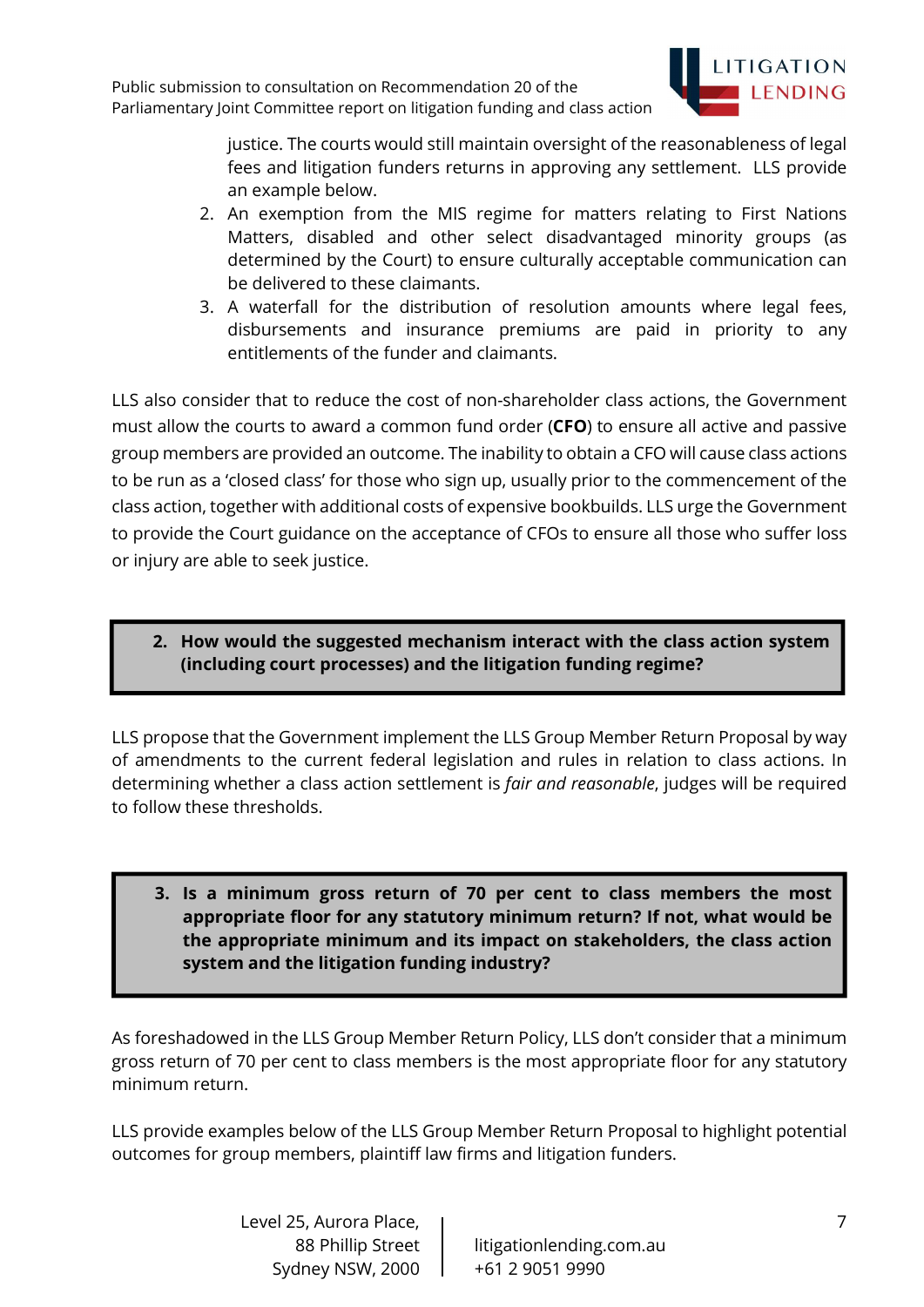

justice. The courts would still maintain oversight of the reasonableness of legal fees and litigation funders returns in approving any settlement. LLS provide an example below.

- 2. An exemption from the MIS regime for matters relating to First Nations Matters, disabled and other select disadvantaged minority groups (as determined by the Court) to ensure culturally acceptable communication can be delivered to these claimants.
- 3. A waterfall for the distribution of resolution amounts where legal fees, disbursements and insurance premiums are paid in priority to any entitlements of the funder and claimants.

LLS also consider that to reduce the cost of non-shareholder class actions, the Government must allow the courts to award a common fund order (CFO) to ensure all active and passive group members are provided an outcome. The inability to obtain a CFO will cause class actions to be run as a 'closed class' for those who sign up, usually prior to the commencement of the class action, together with additional costs of expensive bookbuilds. LLS urge the Government to provide the Court guidance on the acceptance of CFOs to ensure all those who suffer loss or injury are able to seek justice.

2. How would the suggested mechanism interact with the class action system (including court processes) and the litigation funding regime?

LLS propose that the Government implement the LLS Group Member Return Proposal by way of amendments to the current federal legislation and rules in relation to class actions. In determining whether a class action settlement is *fair and reasonable*, judges will be required to follow these thresholds.

3. Is a minimum gross return of 70 per cent to class members the most appropriate floor for any statutory minimum return? If not, what would be the appropriate minimum and its impact on stakeholders, the class action system and the litigation funding industry?

As foreshadowed in the LLS Group Member Return Policy, LLS don't consider that a minimum gross return of 70 per cent to class members is the most appropriate floor for any statutory minimum return.

LLS provide examples below of the LLS Group Member Return Proposal to highlight potential outcomes for group members, plaintiff law firms and litigation funders.

> Level 25, Aurora Place, Sydney NSW, 2000 | +61 2 9051 9990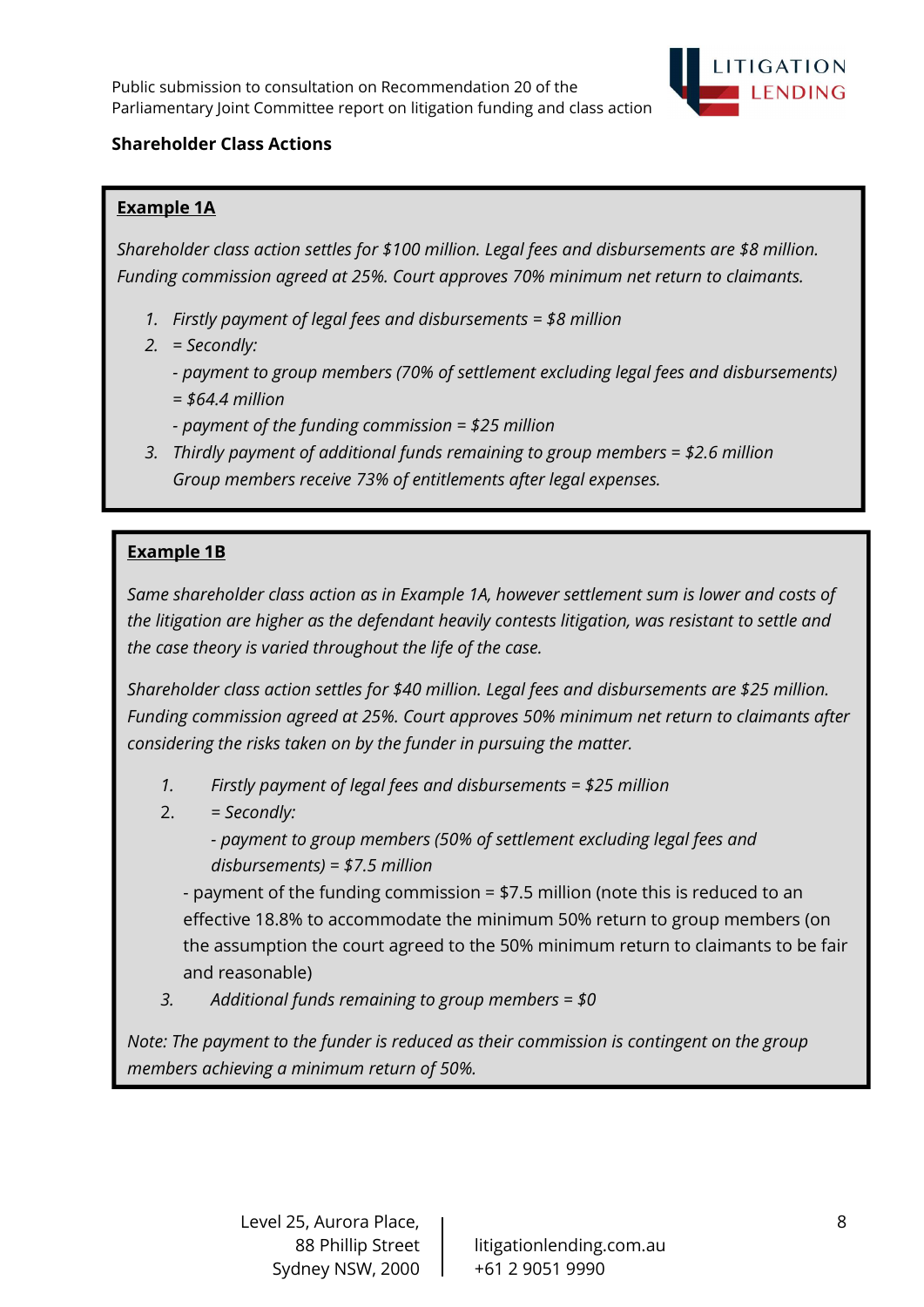

# Shareholder Class Actions

# Example 1A

Shareholder class action settles for \$100 million. Legal fees and disbursements are \$8 million. Funding commission agreed at 25%. Court approves 70% minimum net return to claimants.

- 1. Firstly payment of legal fees and disbursements = \$8 million
- 2. = Secondly:
	- payment to group members (70% of settlement excluding legal fees and disbursements)  $= $64.4$  million
	- payment of the funding commission = \$25 million
- 3. Thirdly payment of additional funds remaining to group members = \$2.6 million Group members receive 73% of entitlements after legal expenses.

# Example 1B

Same shareholder class action as in Example 1A, however settlement sum is lower and costs of the litigation are higher as the defendant heavily contests litigation, was resistant to settle and the case theory is varied throughout the life of the case.

Shareholder class action settles for \$40 million. Legal fees and disbursements are \$25 million. Funding commission agreed at 25%. Court approves 50% minimum net return to claimants after considering the risks taken on by the funder in pursuing the matter.

- 1. Firstly payment of legal fees and disbursements = \$25 million
- $2. =$  Secondly:
	- payment to group members (50% of settlement excluding legal fees and disbursements) = \$7.5 million

- payment of the funding commission = \$7.5 million (note this is reduced to an effective 18.8% to accommodate the minimum 50% return to group members (on the assumption the court agreed to the 50% minimum return to claimants to be fair and reasonable)

3. Additional funds remaining to group members = \$0

Note: The payment to the funder is reduced as their commission is contingent on the group members achieving a minimum return of 50%.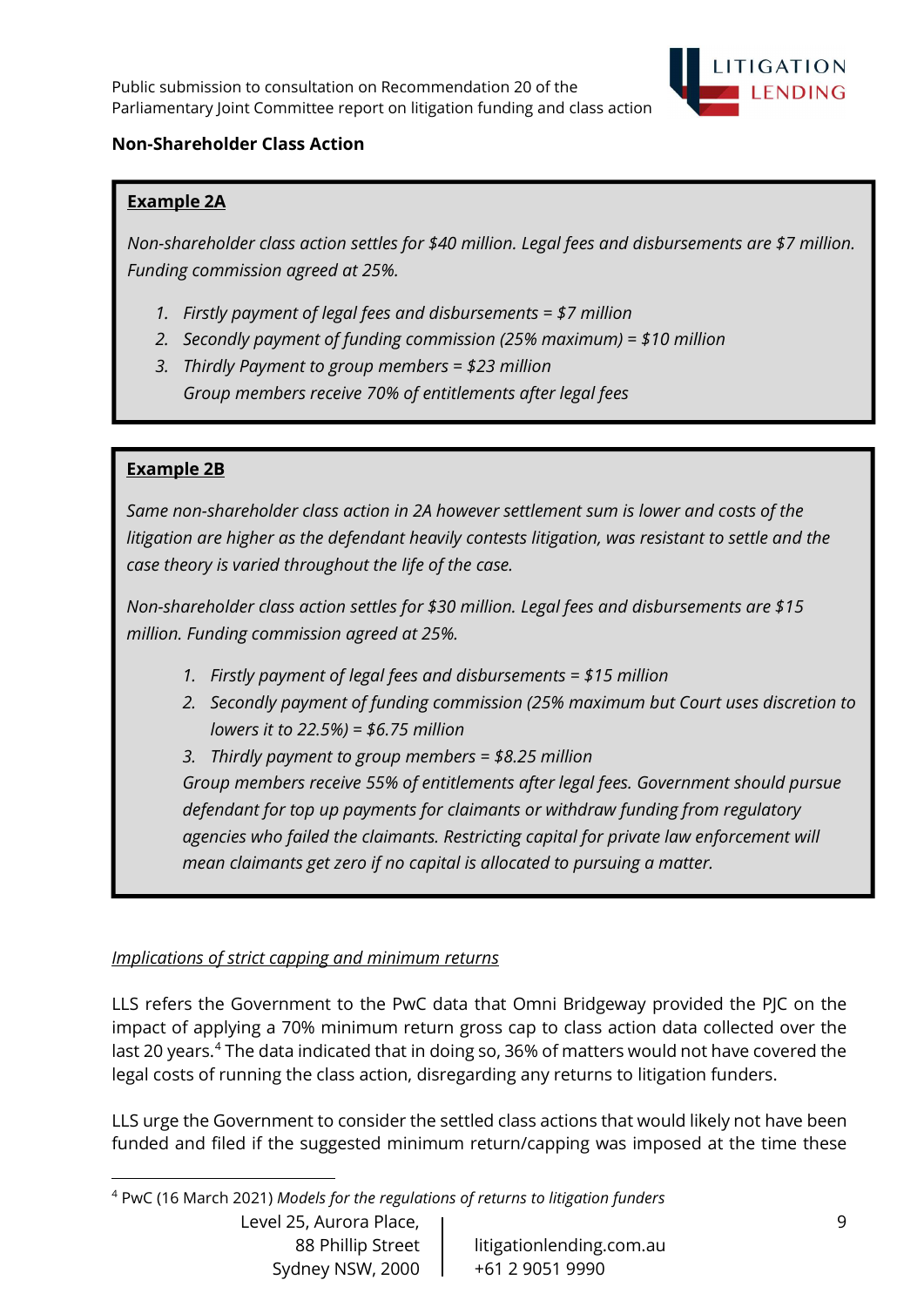

## Non-Shareholder Class Action

## Example 2A

Non-shareholder class action settles for \$40 million. Legal fees and disbursements are \$7 million. Funding commission agreed at 25%.

- 1. Firstly payment of legal fees and disbursements = \$7 million
- 2. Secondly payment of funding commission (25% maximum) = \$10 million
- 3. Thirdly Payment to group members = \$23 million Group members receive 70% of entitlements after legal fees

## Example 2B

Same non-shareholder class action in 2A however settlement sum is lower and costs of the litigation are higher as the defendant heavily contests litigation, was resistant to settle and the case theory is varied throughout the life of the case.

Non-shareholder class action settles for \$30 million. Legal fees and disbursements are \$15 million. Funding commission agreed at 25%.

- 1. Firstly payment of legal fees and disbursements = \$15 million
- 2. Secondly payment of funding commission (25% maximum but Court uses discretion to lowers it to 22.5%) =  $$6.75$  million
- 3. Thirdly payment to group members = \$8.25 million

Group members receive 55% of entitlements after legal fees. Government should pursue defendant for top up payments for claimants or withdraw funding from regulatory agencies who failed the claimants. Restricting capital for private law enforcement will mean claimants get zero if no capital is allocated to pursuing a matter.

#### Implications of strict capping and minimum returns

LLS refers the Government to the PwC data that Omni Bridgeway provided the PJC on the impact of applying a 70% minimum return gross cap to class action data collected over the last 20 years.<sup>4</sup> The data indicated that in doing so, 36% of matters would not have covered the legal costs of running the class action, disregarding any returns to litigation funders.

LLS urge the Government to consider the settled class actions that would likely not have been funded and filed if the suggested minimum return/capping was imposed at the time these

Level 25, Aurora Place, Sydney NSW, 2000 | +61 2 9051 9990

<sup>4</sup> PwC (16 March 2021) Models for the regulations of returns to litigation funders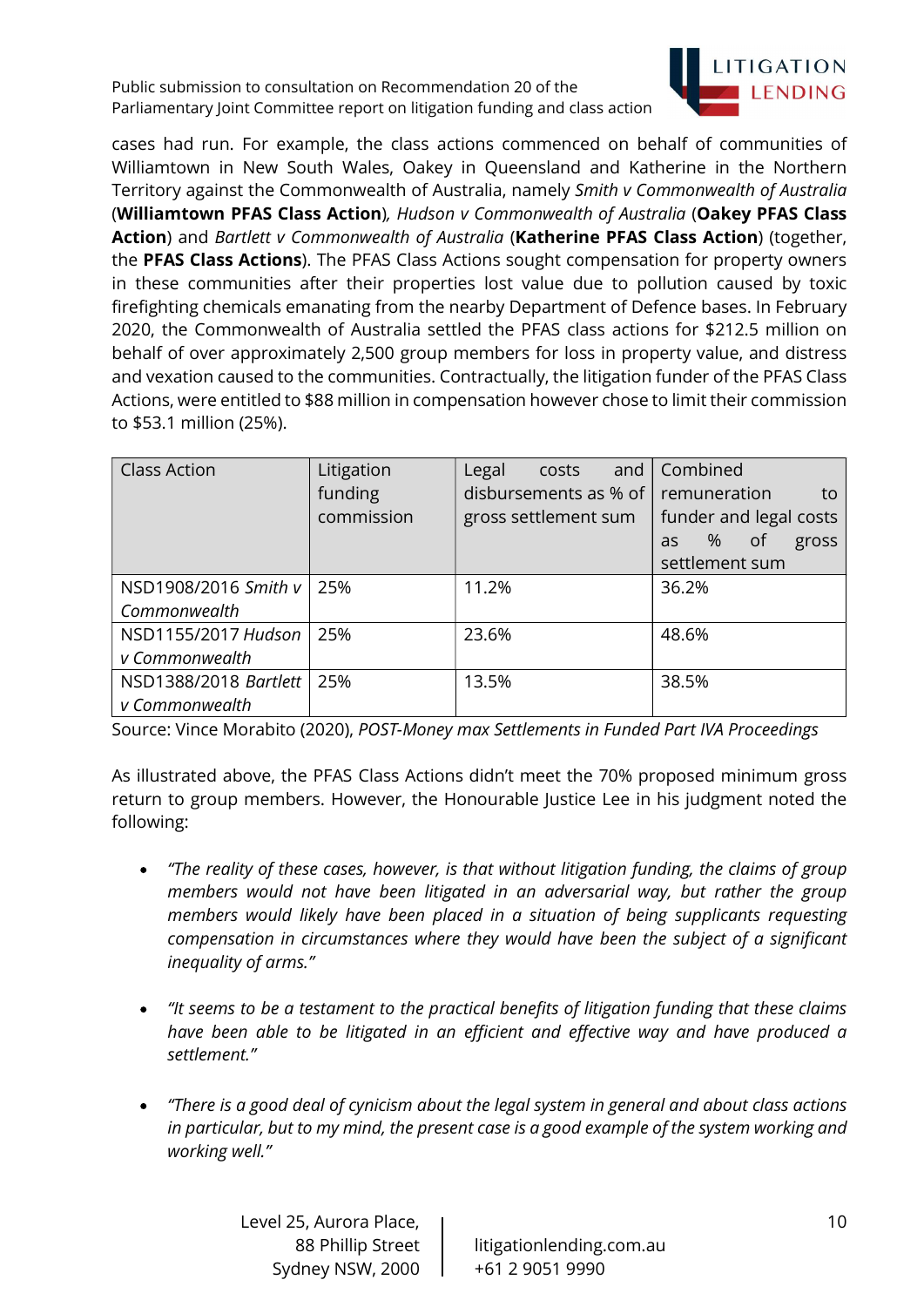

cases had run. For example, the class actions commenced on behalf of communities of Williamtown in New South Wales, Oakey in Queensland and Katherine in the Northern Territory against the Commonwealth of Australia, namely Smith v Commonwealth of Australia (Williamtown PFAS Class Action), Hudson v Commonwealth of Australia (Oakey PFAS Class Action) and Bartlett v Commonwealth of Australia (Katherine PFAS Class Action) (together, the PFAS Class Actions). The PFAS Class Actions sought compensation for property owners in these communities after their properties lost value due to pollution caused by toxic firefighting chemicals emanating from the nearby Department of Defence bases. In February 2020, the Commonwealth of Australia settled the PFAS class actions for \$212.5 million on behalf of over approximately 2,500 group members for loss in property value, and distress and vexation caused to the communities. Contractually, the litigation funder of the PFAS Class Actions, were entitled to \$88 million in compensation however chose to limit their commission to \$53.1 million (25%).

| <b>Class Action</b>   | Litigation<br>funding<br>commission | Legal<br>and $\vert$<br>costs<br>disbursements as % of $ $ remuneration<br>gross settlement sum | Combined<br>to<br>funder and legal costs<br>%<br><sub>of</sub><br>gross<br>as<br>settlement sum |
|-----------------------|-------------------------------------|-------------------------------------------------------------------------------------------------|-------------------------------------------------------------------------------------------------|
| NSD1908/2016 Smith v  | 25%                                 | 11.2%                                                                                           | 36.2%                                                                                           |
| Commonwealth          |                                     |                                                                                                 |                                                                                                 |
| NSD1155/2017 Hudson   | 25%                                 | 23.6%                                                                                           | 48.6%                                                                                           |
| v Commonwealth        |                                     |                                                                                                 |                                                                                                 |
| NSD1388/2018 Bartlett | 25%                                 | 13.5%                                                                                           | 38.5%                                                                                           |
| v Commonwealth        |                                     |                                                                                                 |                                                                                                 |

Source: Vince Morabito (2020), POST-Money max Settlements in Funded Part IVA Proceedings

As illustrated above, the PFAS Class Actions didn't meet the 70% proposed minimum gross return to group members. However, the Honourable Justice Lee in his judgment noted the following:

- "The reality of these cases, however, is that without litigation funding, the claims of group  $\bullet$ members would not have been litigated in an adversarial way, but rather the group members would likely have been placed in a situation of being supplicants requesting compensation in circumstances where they would have been the subject of a significant inequality of arms."
- "It seems to be a testament to the practical benefits of litigation funding that these claims have been able to be litigated in an efficient and effective way and have produced a settlement."
- "There is a good deal of cynicism about the legal system in general and about class actions in particular, but to my mind, the present case is a good example of the system working and working well."

Level 25, Aurora Place, Sydney NSW, 2000 | +61 2 9051 9990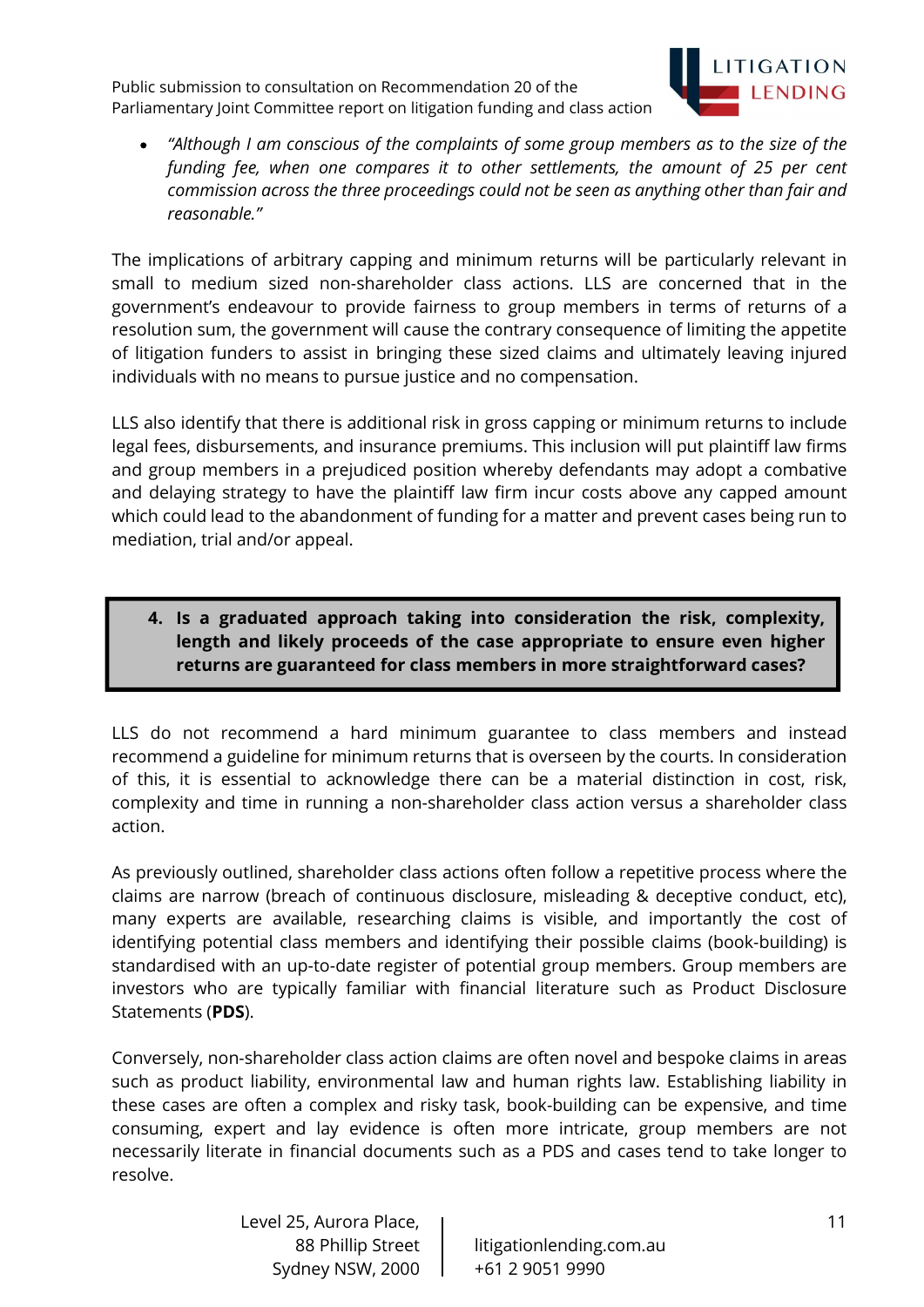

"Although I am conscious of the complaints of some group members as to the size of the funding fee, when one compares it to other settlements, the amount of 25 per cent commission across the three proceedings could not be seen as anything other than fair and reasonable."

The implications of arbitrary capping and minimum returns will be particularly relevant in small to medium sized non-shareholder class actions. LLS are concerned that in the government's endeavour to provide fairness to group members in terms of returns of a resolution sum, the government will cause the contrary consequence of limiting the appetite of litigation funders to assist in bringing these sized claims and ultimately leaving injured individuals with no means to pursue justice and no compensation.

LLS also identify that there is additional risk in gross capping or minimum returns to include legal fees, disbursements, and insurance premiums. This inclusion will put plaintiff law firms and group members in a prejudiced position whereby defendants may adopt a combative and delaying strategy to have the plaintiff law firm incur costs above any capped amount which could lead to the abandonment of funding for a matter and prevent cases being run to mediation, trial and/or appeal.

4. Is a graduated approach taking into consideration the risk, complexity, length and likely proceeds of the case appropriate to ensure even higher returns are guaranteed for class members in more straightforward cases?

LLS do not recommend a hard minimum guarantee to class members and instead recommend a guideline for minimum returns that is overseen by the courts. In consideration of this, it is essential to acknowledge there can be a material distinction in cost, risk, complexity and time in running a non-shareholder class action versus a shareholder class action.

As previously outlined, shareholder class actions often follow a repetitive process where the claims are narrow (breach of continuous disclosure, misleading & deceptive conduct, etc), many experts are available, researching claims is visible, and importantly the cost of identifying potential class members and identifying their possible claims (book-building) is standardised with an up-to-date register of potential group members. Group members are investors who are typically familiar with financial literature such as Product Disclosure Statements (PDS).

Conversely, non-shareholder class action claims are often novel and bespoke claims in areas such as product liability, environmental law and human rights law. Establishing liability in these cases are often a complex and risky task, book-building can be expensive, and time consuming, expert and lay evidence is often more intricate, group members are not necessarily literate in financial documents such as a PDS and cases tend to take longer to resolve.

> Level 25, Aurora Place, Sydney NSW, 2000 | +61 2 9051 9990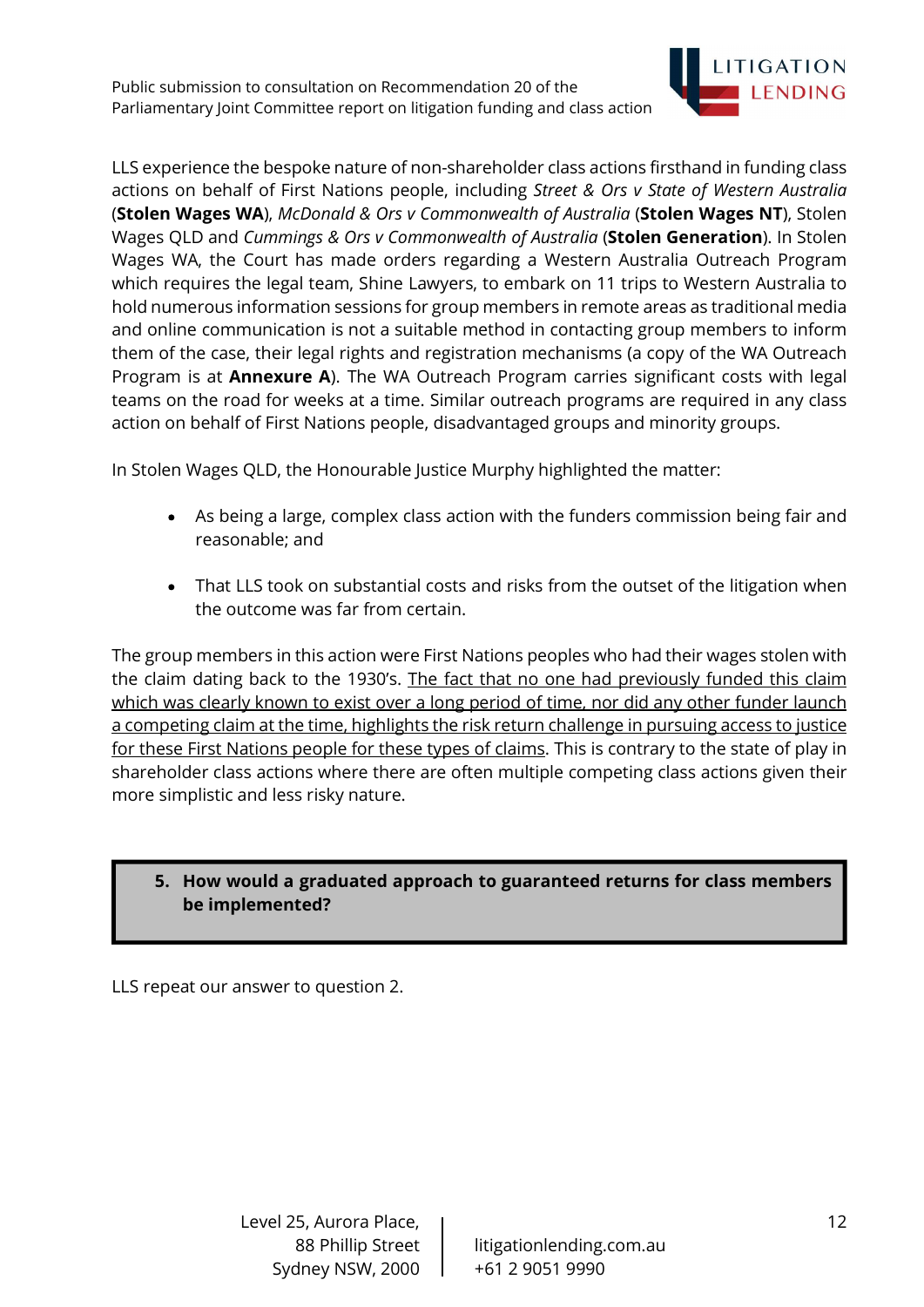

LLS experience the bespoke nature of non-shareholder class actions firsthand in funding class actions on behalf of First Nations people, including Street & Ors v State of Western Australia (Stolen Wages WA), McDonald & Ors v Commonwealth of Australia (Stolen Wages NT), Stolen Wages QLD and Cummings & Ors v Commonwealth of Australia (Stolen Generation). In Stolen Wages WA, the Court has made orders regarding a Western Australia Outreach Program which requires the legal team, Shine Lawyers, to embark on 11 trips to Western Australia to hold numerous information sessions for group members in remote areas as traditional media and online communication is not a suitable method in contacting group members to inform them of the case, their legal rights and registration mechanisms (a copy of the WA Outreach Program is at **Annexure A**). The WA Outreach Program carries significant costs with legal teams on the road for weeks at a time. Similar outreach programs are required in any class action on behalf of First Nations people, disadvantaged groups and minority groups.

In Stolen Wages QLD, the Honourable Justice Murphy highlighted the matter:

- As being a large, complex class action with the funders commission being fair and reasonable; and
- That LLS took on substantial costs and risks from the outset of the litigation when the outcome was far from certain.

The group members in this action were First Nations peoples who had their wages stolen with the claim dating back to the 1930's. The fact that no one had previously funded this claim which was clearly known to exist over a long period of time, nor did any other funder launch a competing claim at the time, highlights the risk return challenge in pursuing access to justice for these First Nations people for these types of claims. This is contrary to the state of play in shareholder class actions where there are often multiple competing class actions given their more simplistic and less risky nature.

# 5. How would a graduated approach to guaranteed returns for class members be implemented?

LLS repeat our answer to question 2.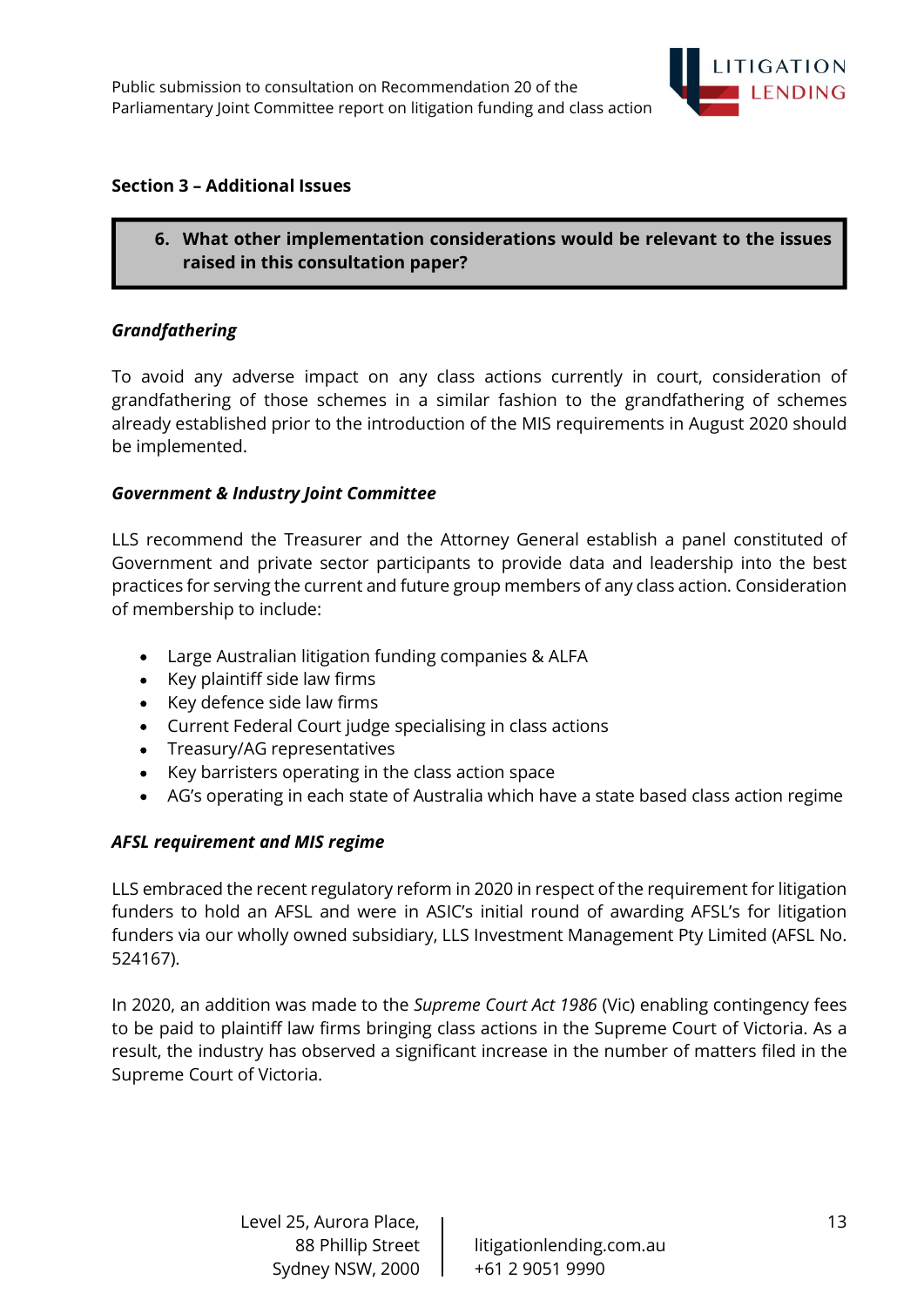

#### Section 3 – Additional Issues

6. What other implementation considerations would be relevant to the issues raised in this consultation paper?

#### Grandfathering

To avoid any adverse impact on any class actions currently in court, consideration of grandfathering of those schemes in a similar fashion to the grandfathering of schemes already established prior to the introduction of the MIS requirements in August 2020 should be implemented.

#### Government & Industry Joint Committee

LLS recommend the Treasurer and the Attorney General establish a panel constituted of Government and private sector participants to provide data and leadership into the best practices for serving the current and future group members of any class action. Consideration of membership to include:

- Large Australian litigation funding companies & ALFA  $\bullet$
- Key plaintiff side law firms
- Key defence side law firms
- Current Federal Court judge specialising in class actions
- Treasury/AG representatives
- Key barristers operating in the class action space
- AG's operating in each state of Australia which have a state based class action regime  $\bullet$

#### AFSL requirement and MIS regime

LLS embraced the recent regulatory reform in 2020 in respect of the requirement for litigation funders to hold an AFSL and were in ASIC's initial round of awarding AFSL's for litigation funders via our wholly owned subsidiary, LLS Investment Management Pty Limited (AFSL No. 524167).

In 2020, an addition was made to the *Supreme Court Act 1986* (Vic) enabling contingency fees to be paid to plaintiff law firms bringing class actions in the Supreme Court of Victoria. As a result, the industry has observed a significant increase in the number of matters filed in the Supreme Court of Victoria.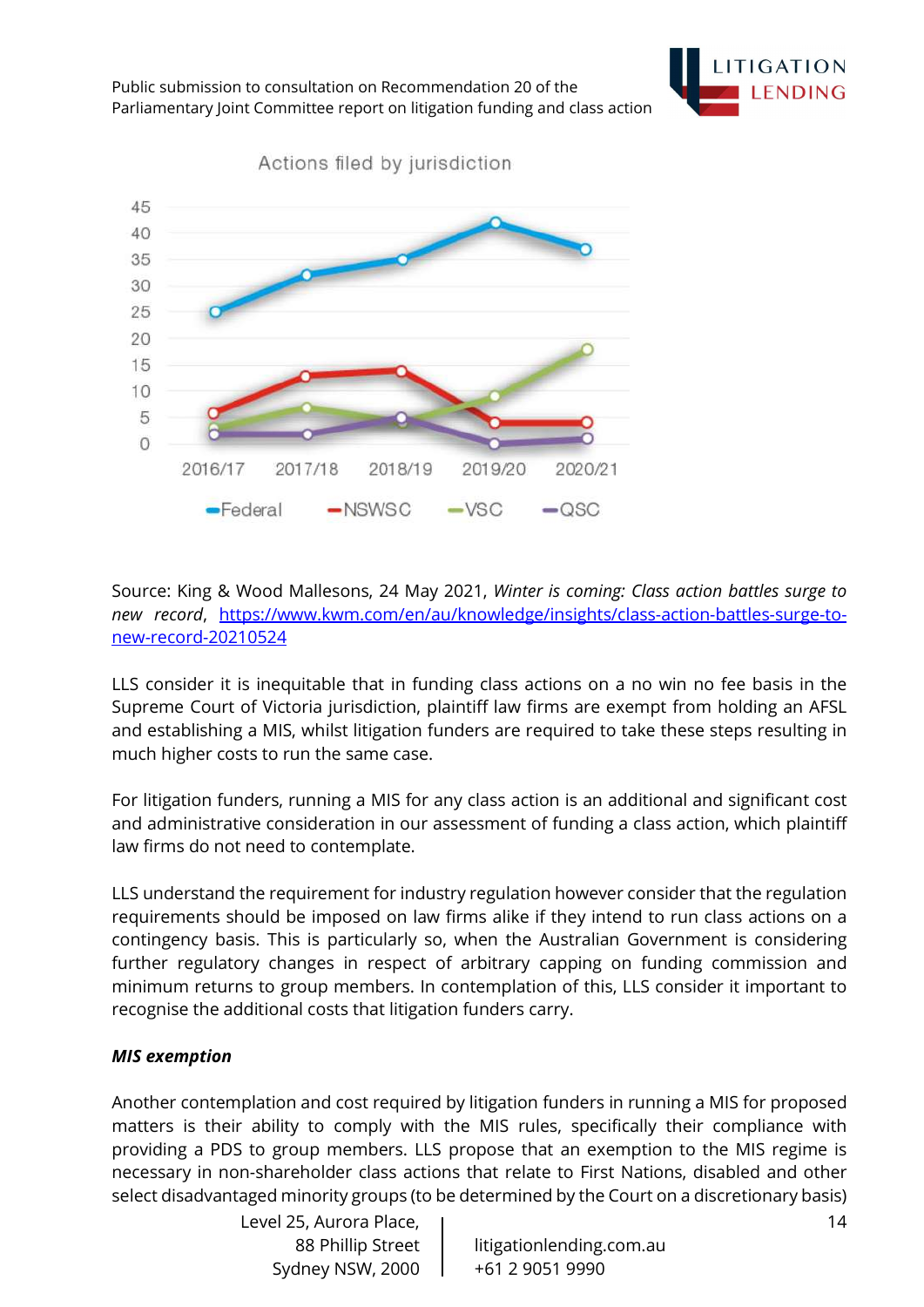



Actions filed by jurisdiction

Source: King & Wood Mallesons, 24 May 2021, Winter is coming: Class action battles surge to new record, https://www.kwm.com/en/au/knowledge/insights/class-action-battles-surge-tonew-record-20210524

LLS consider it is inequitable that in funding class actions on a no win no fee basis in the Supreme Court of Victoria jurisdiction, plaintiff law firms are exempt from holding an AFSL and establishing a MIS, whilst litigation funders are required to take these steps resulting in much higher costs to run the same case.

For litigation funders, running a MIS for any class action is an additional and significant cost and administrative consideration in our assessment of funding a class action, which plaintiff law firms do not need to contemplate.

LLS understand the requirement for industry regulation however consider that the regulation requirements should be imposed on law firms alike if they intend to run class actions on a contingency basis. This is particularly so, when the Australian Government is considering further regulatory changes in respect of arbitrary capping on funding commission and minimum returns to group members. In contemplation of this, LLS consider it important to recognise the additional costs that litigation funders carry.

#### MIS exemption

Another contemplation and cost required by litigation funders in running a MIS for proposed matters is their ability to comply with the MIS rules, specifically their compliance with providing a PDS to group members. LLS propose that an exemption to the MIS regime is necessary in non-shareholder class actions that relate to First Nations, disabled and other select disadvantaged minority groups (to be determined by the Court on a discretionary basis)

> Level 25, Aurora Place, Sydney NSW, 2000 | +61 2 9051 9990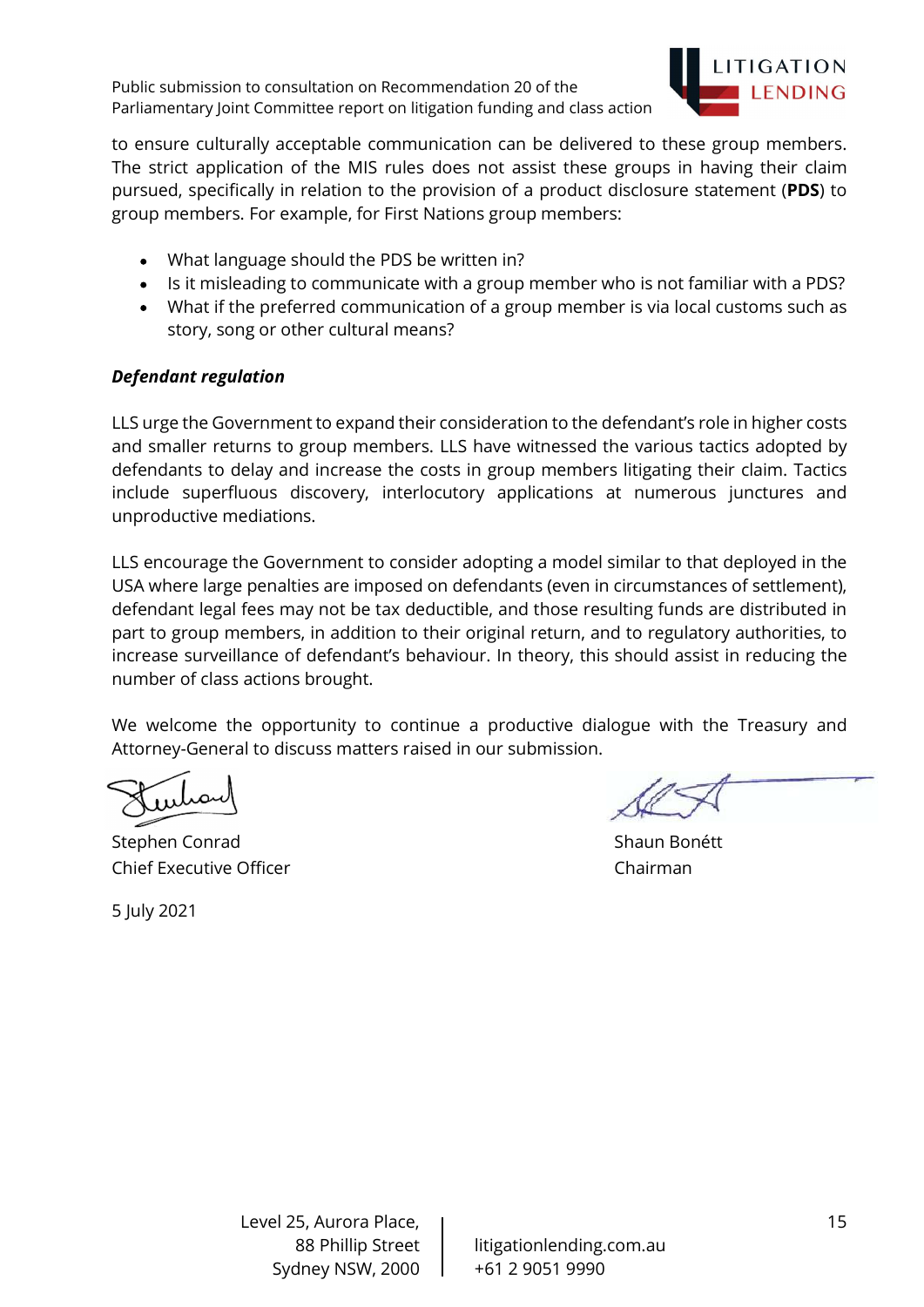

to ensure culturally acceptable communication can be delivered to these group members. The strict application of the MIS rules does not assist these groups in having their claim pursued, specifically in relation to the provision of a product disclosure statement (PDS) to group members. For example, for First Nations group members:

- What language should the PDS be written in?
- Is it misleading to communicate with a group member who is not familiar with a PDS?
- What if the preferred communication of a group member is via local customs such as story, song or other cultural means?

#### Defendant regulation

LLS urge the Government to expand their consideration to the defendant's role in higher costs and smaller returns to group members. LLS have witnessed the various tactics adopted by defendants to delay and increase the costs in group members litigating their claim. Tactics include superfluous discovery, interlocutory applications at numerous junctures and unproductive mediations.

LLS encourage the Government to consider adopting a model similar to that deployed in the USA where large penalties are imposed on defendants (even in circumstances of settlement), defendant legal fees may not be tax deductible, and those resulting funds are distributed in part to group members, in addition to their original return, and to regulatory authorities, to increase surveillance of defendant's behaviour. In theory, this should assist in reducing the number of class actions brought.

We welcome the opportunity to continue a productive dialogue with the Treasury and Attorney-General to discuss matters raised in our submission.

Stephen Conrad Stephen Conrad Shaun Bonétt Chief Executive Officer Chairman

5 July 2021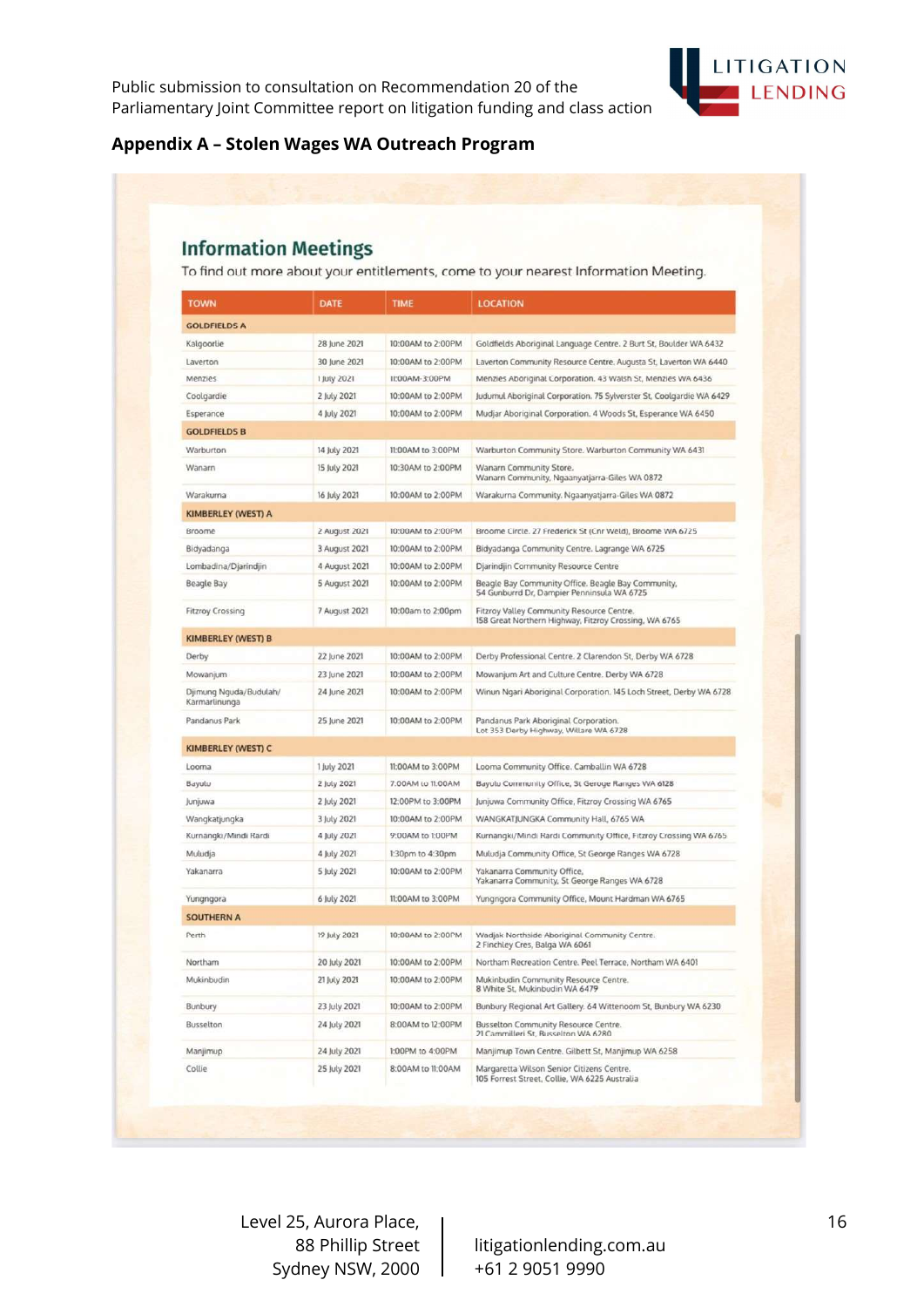

#### Appendix A – Stolen Wages WA Outreach Program

# **Information Meetings**

To find out more about your entitlements, come to your nearest Information Meeting.

| <b>TOWN</b>                             | DATE          | <b>TIME</b>       | <b>LOCATION</b>                                                                                    |  |
|-----------------------------------------|---------------|-------------------|----------------------------------------------------------------------------------------------------|--|
| <b>GOLDFIELDS A</b>                     |               |                   |                                                                                                    |  |
| Kalgoorlie                              | 28 June 2021  | 10:00AM to 2:00PM | Goldfields Aboriginal Language Centre. 2 Burt St, Boulder WA 6432                                  |  |
| Laverton                                | 30 June 2021  | 10:00AM to 2:00PM | Laverton Community Resource Centre. Augusta St, Laverton WA 6440                                   |  |
| Menzies                                 | 1 July 2021   | 11:00AM-3:00PM    | Menzies Aboriginal Corporation. 43 Walsh St, Menzies WA 6436                                       |  |
| Coolgardie                              | 2 July 2021   | 10:00AM to 2:00PM | Judumul Aboriginal Corporation. 75 Sylverster St, Coolgardie WA 6429                               |  |
| Esperance                               | 4 July 2021   | 10:00AM to 2:00PM | Mudjar Aboriginal Corporation. 4 Woods St, Esperance WA 6450                                       |  |
| <b>GOLDFIELDS B</b>                     |               |                   |                                                                                                    |  |
| Warburton                               | 14 July 2021  | 11:00AM to 3:00PM | Warburton Community Store. Warburton Community WA 6431                                             |  |
| Wanarn                                  | 15 July 2021  | 10:30AM to 2:00PM | Wanarn Community Store.<br>Wanarn Community, Ngaanyatjarra-Giles WA 0872                           |  |
| Warakurna                               | 16 July 2021  | 10:00AM to 2:00PM | Warakurna Community. Ngaanyatjarra-Giles WA 0872                                                   |  |
| <b>KIMBERLEY (WEST) A</b>               |               |                   |                                                                                                    |  |
| Broome                                  | 2 August 2021 | 10:00AM to 2:00PM | Broome Circle. 27 Frederick St (Cnr Weld), Broome WA 6725                                          |  |
| Bidyadanga                              | 3 August 2021 | 10:00AM to 2:00PM | Bidyadanga Community Centre. Lagrange WA 6725                                                      |  |
| Lombadina/Djarindjin                    | 4 August 2021 | 10:00AM to 2:00PM | Djarindjin Community Resource Centre                                                               |  |
| Beagle Bay                              | 5 August 2021 | 10:00AM to 2:00PM | Beagle Bay Community Office. Beagle Bay Community,<br>54 Gunburrd Dr, Dampier Penninsula WA 6725   |  |
| <b>Fitzroy Crossing</b>                 | 7 August 2021 | 10:00am to 2:00pm | Fitzroy Valley Community Resource Centre.<br>158 Great Northern Highway, Fitzroy Crossing, WA 6765 |  |
| <b>KIMBERLEY (WEST) B</b>               |               |                   |                                                                                                    |  |
| <b>Derby</b>                            | 22 June 2021  | 10:00AM to 2:00PM | Derby Professional Centre. 2 Clarendon St, Derby WA 6728                                           |  |
| Mowanjum                                | 23 June 2021  | 10:00AM to 2:00PM | Mowanjum Art and Culture Centre. Derby WA 6728                                                     |  |
| Djimung Nguda/Budulah/<br>Karmarlinunga | 24 June 2021  | 10:00AM to 2:00PM | Winun Ngari Aboriginal Corporation. 145 Loch Street, Derby WA 6728                                 |  |
| Pandanus Park                           | 25 June 2021  | 10:00AM to 2:00PM | Pandanus Park Aboriginal Corporation.<br>Lot 353 Derby Highway, Willare WA 6728                    |  |
| <b>KIMBERLEY (WEST) C</b>               |               |                   |                                                                                                    |  |
| Looma                                   | 1 July 2021   | 11:00AM to 3:00PM | Looma Community Office. Camballin WA 6728                                                          |  |
| Bayulu                                  | 2 July 2021   | 7:00AM to 11:00AM | Bayulu Community Office, St Geroge Ranges WA 6128                                                  |  |
| Junjuwa                                 | 2 July 2021   | 12:00PM to 3:00PM | Junjuwa Community Office, Fitzroy Crossing WA 6765                                                 |  |
| Wangkatjungka                           | 3 July 2021   | 10:00AM to 2:00PM | WANGKATJUNGKA Community Hall, 6765 WA                                                              |  |
| Kurnangki/Mindi Rardi                   | 4 July 2021   | 9:00AM to 1:00PM  | Kurnangki/Mindi Rardi Community Office, Fitzroy Crossing WA 6765                                   |  |
| Muludja                                 | 4 July 2021   | 1:30pm to 4:30pm  | Muludja Community Office, St George Ranges WA 6728                                                 |  |
| Yakanarra                               | 5 July 2021   | 10:00AM to 2:00PM | Yakanarra Community Office,<br>Yakanarra Community. St George Ranges WA 6728                       |  |
| Yungngora                               | 6 July 2021   | 11:00AM to 3:00PM | Yungngora Community Office, Mount Hardman WA 6765                                                  |  |
| <b>SOUTHERN A</b>                       |               |                   |                                                                                                    |  |
| Perth                                   | 19 July 2021  | 10:00AM to 2:00PM | Wadjak Northside Aboriginal Community Centre.<br>2 Finchley Cres, Balga WA 6061                    |  |
| Northam                                 | 20 July 2021  | 10:00AM to 2:00PM | Northam Recreation Centre. Peel Terrace, Northam WA 6401                                           |  |
| Mukinbudin                              | 21 July 2021  | 10:00AM to 2:00PM | Mukinbudin Community Resource Centre<br>8 White St, Mukinbudin WA 6479                             |  |
| Bunbury                                 | 23 July 2021  | 10:00AM to 2:00PM | Bunbury Regional Art Gallery. 64 Wittenoom St, Bunbury WA 6230                                     |  |
| Busselton                               | 24 July 2021  | 8:00AM to 12:00PM | Busselton Community Resource Centre.<br>21 Cammilleri St, Busselton WA 6280                        |  |
| Manjimup                                | 24 July 2021  | 1:00PM to 4:00PM  | Manjimup Town Centre. Gilbett St, Manjimup WA 6258                                                 |  |
| Collie                                  | 25 July 2021  | 8:00AM to 11:00AM | Margaretta Wilson Senior Citizens Centre.<br>105 Forrest Street, Collie, WA 6225 Australia         |  |

Level 25, Aurora Place, Sydney NSW, 2000 | +61 2 9051 9990